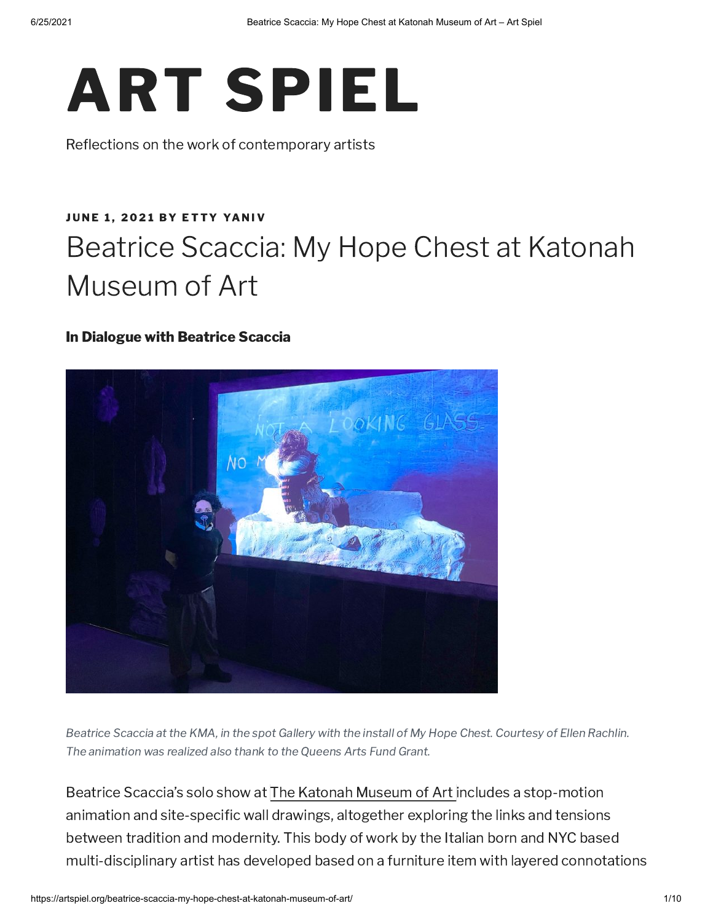

Reflections on the work of contemporary artists

# **JU[N](https://artspiel.org/beatrice-scaccia-my-hope-chest-at-katonah-museum-of-art/)E 1, 2021 BY ETTY [YA](https://artspiel.org/author/ettyyaniv/)NIV** Beatrice Scaccia: My Hope Chest at Katonah Museum of Art

### In Dialogue with Beatrice Scaccia



Beatrice Scaccia at the KMA, in the spot Gallery with the install of My Hope Chest. Courtesy of Ellen Rachlin. The animation was realized also thank to the Queens Arts Fund Grant.

Beatrice Scaccia's solo show at The Katonah [Museum](http://www.katonahmuseum.org/) of Art includes a stop-motion animation and site-specific wall drawings, altogether exploring the links and tensions between tradition and modernity. This body of work by the Italian born and NYC based multi-disciplinary artist has developed based on a furniture item with layered connotations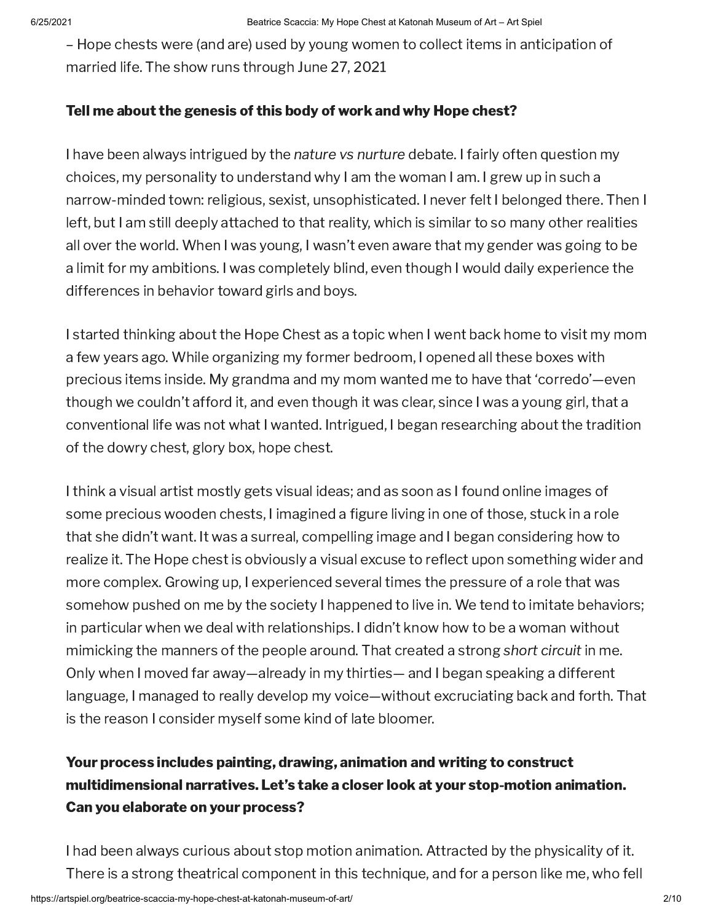– Hope chests were (and are) used by young women to collect items in anticipation of married life. The show runs through June 27, 2021

### Tell me about the genesis of this body of work and why Hope chest?

I have been always intrigued by the nature vs nurture debate. I fairly often question my choices, my personality to understand why I am the woman I am. I grew up in such a narrow-minded town: religious, sexist, unsophisticated. I never felt I belonged there. Then I left, but I am still deeply attached to that reality, which is similar to so many other realities all over the world. When I was young, I wasn't even aware that my gender was going to be a limit for my ambitions. I was completely blind, even though I would daily experience the differences in behavior toward girls and boys.

I started thinking about the Hope Chest as a topic when I went back home to visit my mom a few years ago. While organizing my former bedroom, I opened all these boxes with precious items inside. My grandma and my mom wanted me to have that 'corredo'—even though we couldn't afford it, and even though it was clear, since I was a young girl, that a conventional life was not what I wanted. Intrigued, I began researching about the tradition of the dowry chest, glory box, hope chest.

I think a visual artist mostly gets visual ideas; and as soon as I found online images of some precious wooden chests, I imagined a figure living in one of those, stuck in a role that she didn't want. It was a surreal, compelling image and I began considering how to realize it. The Hope chest is obviously a visual excuse to reflect upon something wider and more complex. Growing up, I experienced several times the pressure of a role that was somehow pushed on me by the society I happened to live in. We tend to imitate behaviors; in particular when we deal with relationships. I didn't know how to be a woman without mimicking the manners of the people around. That created a strong short circuit in me. Only when I moved far away—already in my thirties— and I began speaking a different language, I managed to really develop my voice—without excruciating back and forth. That is the reason I consider myself some kind of late bloomer.

# Your process includes painting, drawing, animation and writing to construct multidimensional narratives. Let's take a closer look at your stop-motion animation. Can you elaborate on your process?

I had been always curious about stop motion animation. Attracted by the physicality of it. There is a strong theatrical component in this technique, and for a person like me, who fell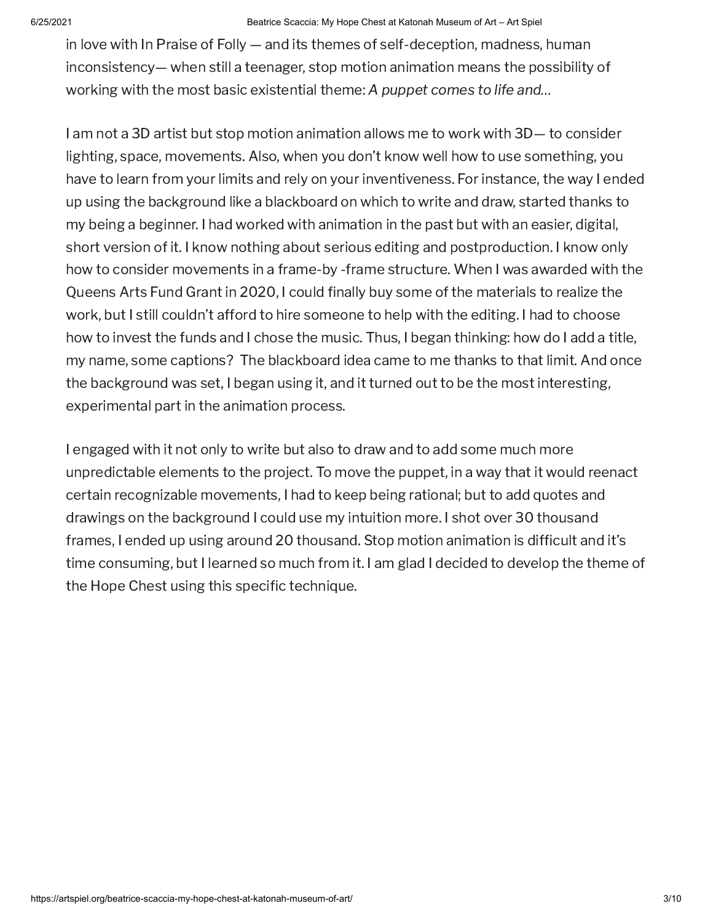#### 6/25/2021 Beatrice Scaccia: My Hope Chest at Katonah Museum of Art – Art Spiel

in love with In Praise of Folly — and its themes of self-deception, madness, human inconsistency— when still a teenager, stop motion animation means the possibility of working with the most basic existential theme: A puppet comes to life and…

I am not a 3D artist but stop motion animation allows me to work with 3D— to consider lighting, space, movements. Also, when you don't know well how to use something, you have to learn from your limits and rely on your inventiveness. For instance, the way I ended up using the background like a blackboard on which to write and draw, started thanks to my being a beginner. I had worked with animation in the past but with an easier, digital, short version of it. I know nothing about serious editing and postproduction. I know only how to consider movements in a frame-by -frame structure. When I was awarded with the Queens Arts Fund Grant in 2020, I could finally buy some of the materials to realize the work, but I still couldn't afford to hire someone to help with the editing. I had to choose how to invest the funds and I chose the music. Thus, I began thinking: how do I add a title, my name, some captions? The blackboard idea came to me thanks to that limit. And once the background was set, I began using it, and it turned out to be the most interesting, experimental part in the animation process.

I engaged with it not only to write but also to draw and to add some much more unpredictable elements to the project. To move the puppet, in a way that it would reenact certain recognizable movements, I had to keep being rational; but to add quotes and drawings on the background I could use my intuition more. I shot over 30 thousand frames, I ended up using around 20 thousand. Stop motion animation is difficult and it's time consuming, but I learned so much from it. I am glad I decided to develop the theme of the Hope Chest using this specific technique.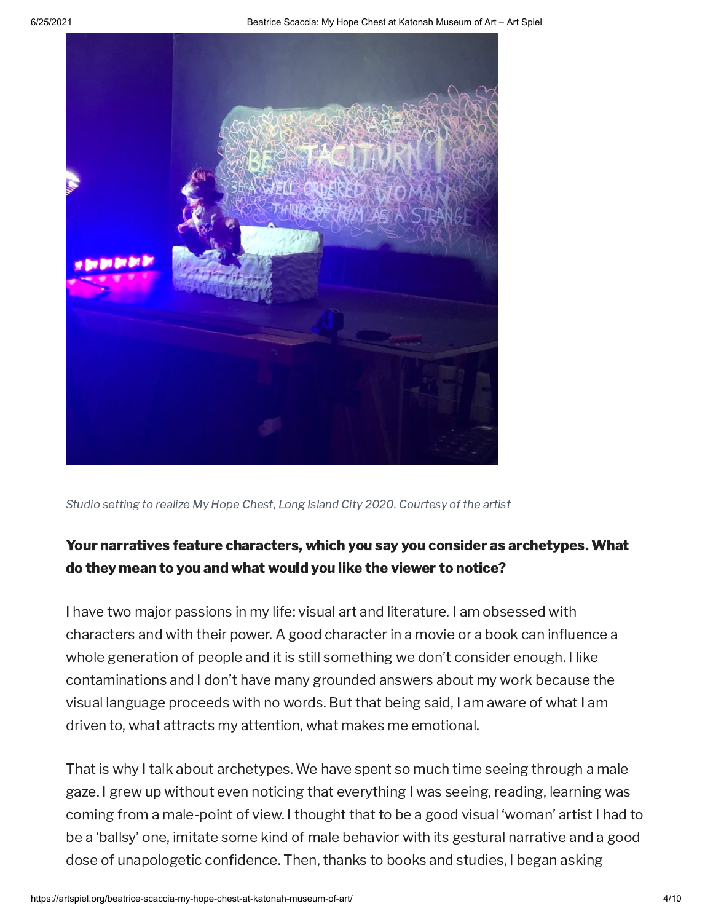

Studio setting to realize My Hope Chest, Long Island City 2020. Courtesy of the artist

# Your narratives feature characters, which you say you consider as archetypes. What do they mean to you and what would you like the viewer to notice?

I have two major passions in my life: visual art and literature. I am obsessed with characters and with their power. A good character in a movie or a book can influence a whole generation of people and it is still something we don't consider enough. I like contaminations and I don't have many grounded answers about my work because the visual language proceeds with no words. But that being said, I am aware of what I am driven to, what attracts my attention, what makes me emotional.

That is why I talk about archetypes. We have spent so much time seeing through a male gaze. I grew up without even noticing that everything I was seeing, reading, learning was coming from a male-point of view. I thought that to be a good visual 'woman' artist I had to be a 'ballsy' one, imitate some kind of male behavior with its gestural narrative and a good dose of unapologetic confidence. Then, thanks to books and studies, I began asking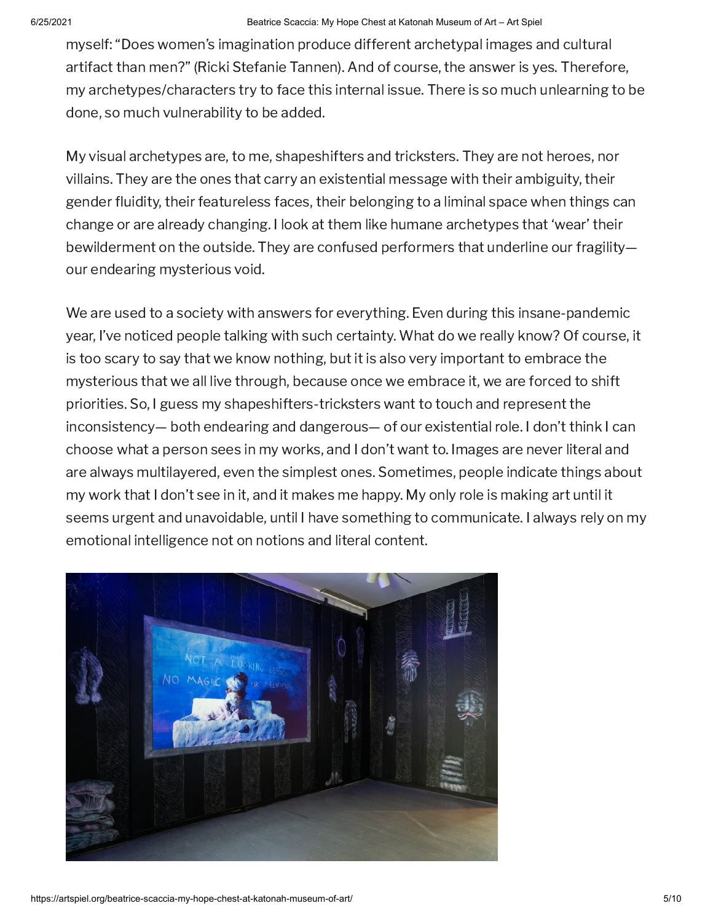myself: "Does women's imagination produce different archetypal images and cultural artifact than men?" (Ricki Stefanie Tannen). And of course, the answer is yes. Therefore, my archetypes/characters try to face this internal issue. There is so much unlearning to be done, so much vulnerability to be added.

My visual archetypes are, to me, shapeshifters and tricksters. They are not heroes, nor villains. They are the ones that carry an existential message with their ambiguity, their gender fluidity, their featureless faces, their belonging to a liminal space when things can change or are already changing. I look at them like humane archetypes that 'wear' their bewilderment on the outside. They are confused performers that underline our fragility our endearing mysterious void.

We are used to a society with answers for everything. Even during this insane-pandemic year, I've noticed people talking with such certainty. What do we really know? Of course, it is too scary to say that we know nothing, but it is also very important to embrace the mysterious that we all live through, because once we embrace it, we are forced to shift priorities. So, I guess my shapeshifters-tricksters want to touch and represent the inconsistency— both endearing and dangerous— of our existential role. I don't think I can choose what a person sees in my works, and I don't want to. Images are never literal and are always multilayered, even the simplest ones. Sometimes, people indicate things about my work that I don't see in it, and it makes me happy. My only role is making art until it seems urgent and unavoidable, until I have something to communicate. I always rely on my emotional intelligence not on notions and literal content.

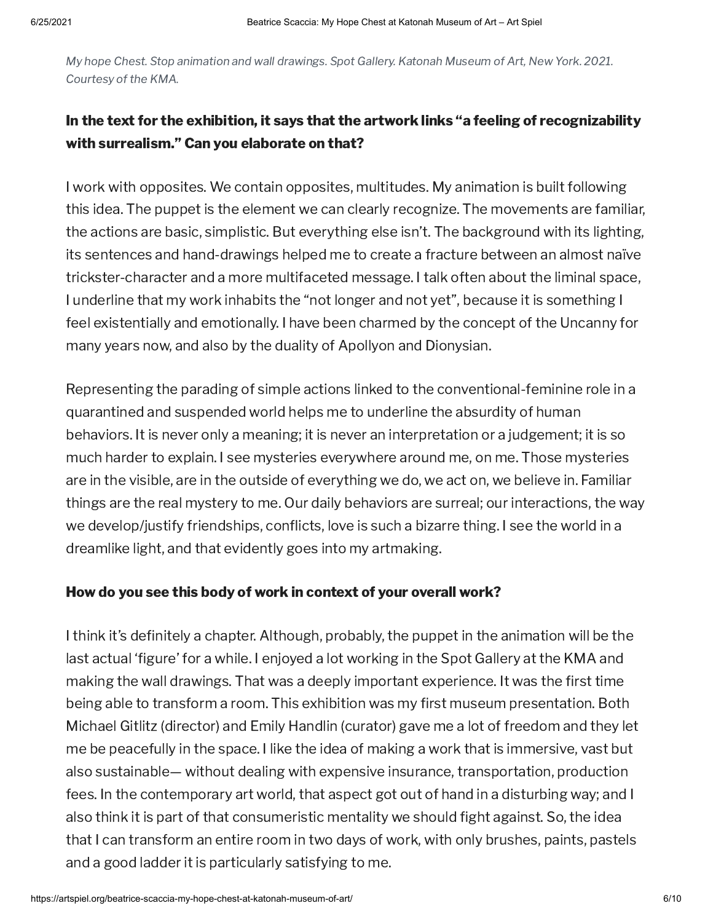My hope Chest. Stop animation and wall drawings. Spot Gallery. Katonah Museum of Art, New York. 2021. Courtesy of the KMA.

# In the text for the exhibition, it says that the artwork links "a feeling of recognizability with surrealism." Can you elaborate on that?

I work with opposites. We contain opposites, multitudes. My animation is built following this idea. The puppet is the element we can clearly recognize. The movements are familiar, the actions are basic, simplistic. But everything else isn't. The background with its lighting, its sentences and hand-drawings helped me to create a fracture between an almost naïve trickster-character and a more multifaceted message. I talk often about the liminal space, I underline that my work inhabits the "not longer and not yet", because it is something I feel existentially and emotionally. I have been charmed by the concept of the Uncanny for many years now, and also by the duality of Apollyon and Dionysian.

Representing the parading of simple actions linked to the conventional-feminine role in a quarantined and suspended world helps me to underline the absurdity of human behaviors. It is never only a meaning; it is never an interpretation or a judgement; it is so much harder to explain. I see mysteries everywhere around me, on me. Those mysteries are in the visible, are in the outside of everything we do, we act on, we believe in. Familiar things are the real mystery to me. Our daily behaviors are surreal; our interactions, the way we develop/justify friendships, conflicts, love is such a bizarre thing. I see the world in a dreamlike light, and that evidently goes into my artmaking.

### How do you see this body of work in context of your overall work?

I think it's definitely a chapter. Although, probably, the puppet in the animation will be the last actual 'figure' for a while. I enjoyed a lot working in the Spot Gallery at the KMA and making the wall drawings. That was a deeply important experience. It was the first time being able to transform a room. This exhibition was my first museum presentation. Both Michael Gitlitz (director) and Emily Handlin (curator) gave me a lot of freedom and they let me be peacefully in the space. I like the idea of making a work that is immersive, vast but also sustainable— without dealing with expensive insurance, transportation, production fees. In the contemporary art world, that aspect got out of hand in a disturbing way; and I also think it is part of that consumeristic mentality we should fight against. So, the idea that I can transform an entire room in two days of work, with only brushes, paints, pastels and a good ladder it is particularly satisfying to me.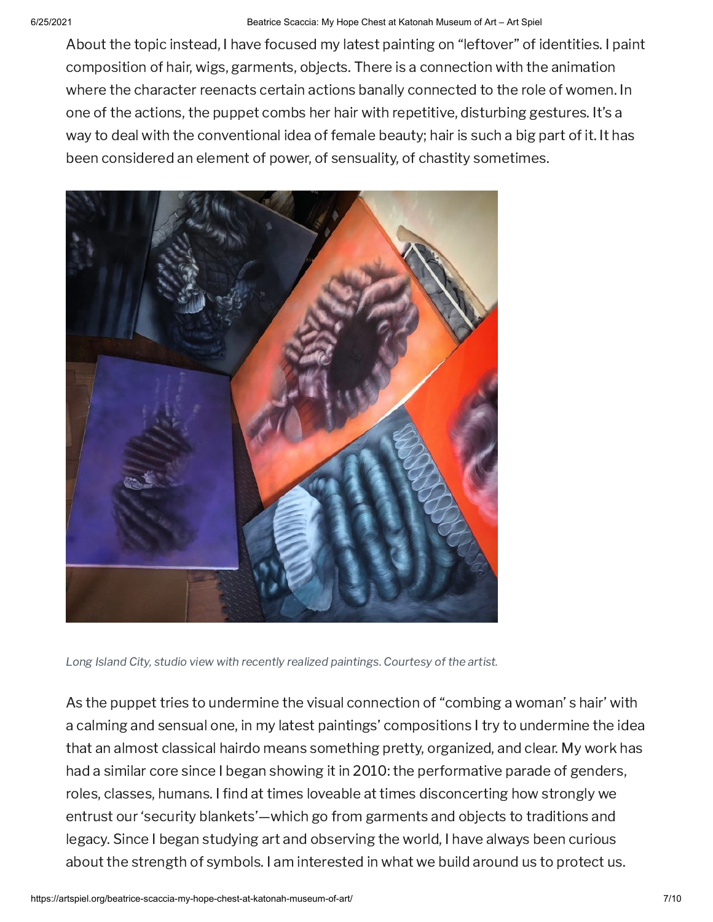### 6/25/2021 Beatrice Scaccia: My Hope Chest at Katonah Museum of Art – Art Spiel

About the topic instead, I have focused my latest painting on "leftover" of identities. I paint composition of hair, wigs, garments, objects. There is a connection with the animation where the character reenacts certain actions banally connected to the role of women. In one of the actions, the puppet combs her hair with repetitive, disturbing gestures. It's a way to deal with the conventional idea of female beauty; hair is such a big part of it. It has been considered an element of power, of sensuality, of chastity sometimes.



Long Island City, studio view with recently realized paintings. Courtesy of the artist.

As the puppet tries to undermine the visual connection of "combing a woman' s hair' with a calming and sensual one, in my latest paintings' compositions I try to undermine the idea that an almost classical hairdo means something pretty, organized, and clear. My work has had a similar core since I began showing it in 2010: the performative parade of genders, roles, classes, humans. I find at times loveable at times disconcerting how strongly we entrust our 'security blankets'—which go from garments and objects to traditions and legacy. Since I began studying art and observing the world, I have always been curious about the strength of symbols. I am interested in what we build around us to protect us.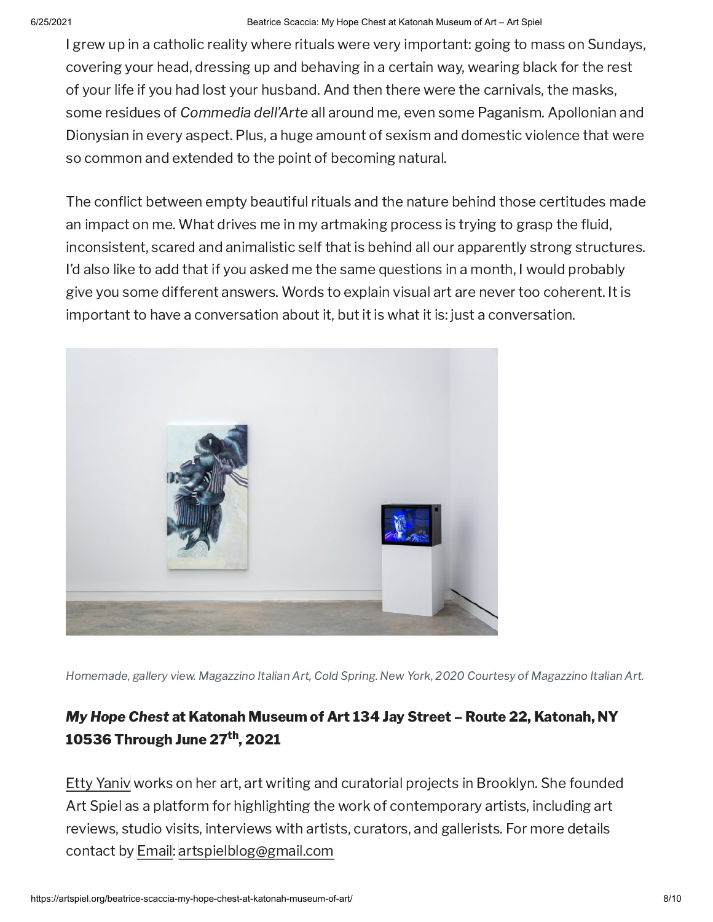### 6/25/2021 Beatrice Scaccia: My Hope Chest at Katonah Museum of Art – Art Spiel

I grew up in a catholic reality where rituals were very important: going to mass on Sundays, covering your head, dressing up and behaving in a certain way, wearing black for the rest of your life if you had lost your husband. And then there were the carnivals, the masks, some residues of Commedia dell'Arte all around me, even some Paganism. Apollonian and Dionysian in every aspect. Plus, a huge amount of sexism and domestic violence that were so common and extended to the point of becoming natural.

The conflict between empty beautiful rituals and the nature behind those certitudes made an impact on me. What drives me in my artmaking process is trying to grasp the fluid, inconsistent, scared and animalistic self that is behind all our apparently strong structures. I'd also like to add that if you asked me the same questions in a month, I would probably give you some different answers. Words to explain visual art are never too coherent. It is important to have a conversation about it, but it is what it is: just a conversation.



Homemade, gallery view. Magazzino Italian Art, Cold Spring. New York, 2020 Courtesy of Magazzino Italian Art.

# My Hope Chest at Katonah Museum of Art 134 Jay Street – Route 22, Katonah, NY 10536 Through June 27<sup>th</sup>, 2021

Etty [Yaniv](http://www.ettyyanivstudio.com/) works on her art, art writing and curatorial projects in Brooklyn. She founded Art Spiel as a platform for highlighting the work of contemporary artists, including art reviews, studio visits, interviews with artists, curators, and gallerists. For more details contact by [Email](mailto:artspielblog@gmail.com): [artspielblog@gmail.com](mailto:artspielblog@gmail.com)